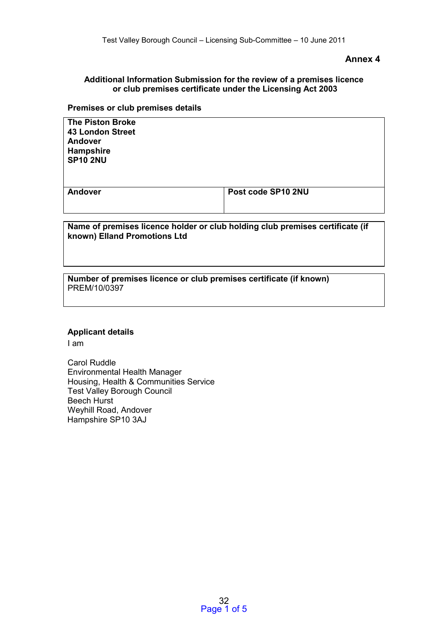### **Annex 4**

# **Additional Information Submission for the review of a premises licence or club premises certificate under the Licensing Act 2003**

# **Premises or club premises details**

| <b>The Piston Broke</b><br>43 London Street<br>Andover<br>Hampshire<br><b>SP10 2NU</b> |                    |
|----------------------------------------------------------------------------------------|--------------------|
| Andover                                                                                | Post code SP10 2NU |
| Name of premises licence holder or club holding club premises certificate (if          |                    |

**Name of premises licence holder or club holding club premises certificate (if known) Elland Promotions Ltd** 

**Number of premises licence or club premises certificate (if known)**  PREM/10/0397

#### **Applicant details**

I am

Carol Ruddle Environmental Health Manager Housing, Health & Communities Service Test Valley Borough Council Beech Hurst Weyhill Road, Andover Hampshire SP10 3AJ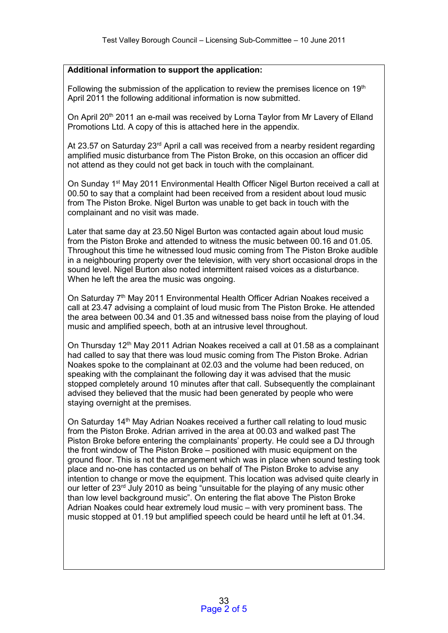# **Additional information to support the application:**

Following the submission of the application to review the premises licence on 19<sup>th</sup> April 2011 the following additional information is now submitted.

On April 20<sup>th</sup> 2011 an e-mail was received by Lorna Taylor from Mr Lavery of Elland Promotions Ltd. A copy of this is attached here in the appendix.

At 23.57 on Saturday 23<sup>rd</sup> April a call was received from a nearby resident regarding amplified music disturbance from The Piston Broke, on this occasion an officer did not attend as they could not get back in touch with the complainant.

On Sunday 1st May 2011 Environmental Health Officer Nigel Burton received a call at 00.50 to say that a complaint had been received from a resident about loud music from The Piston Broke. Nigel Burton was unable to get back in touch with the complainant and no visit was made.

Later that same day at 23.50 Nigel Burton was contacted again about loud music from the Piston Broke and attended to witness the music between 00.16 and 01.05. Throughout this time he witnessed loud music coming from The Piston Broke audible in a neighbouring property over the television, with very short occasional drops in the sound level. Nigel Burton also noted intermittent raised voices as a disturbance. When he left the area the music was ongoing.

On Saturday 7th May 2011 Environmental Health Officer Adrian Noakes received a call at 23.47 advising a complaint of loud music from The Piston Broke. He attended the area between 00.34 and 01.35 and witnessed bass noise from the playing of loud music and amplified speech, both at an intrusive level throughout.

On Thursday  $12<sup>th</sup>$  May 2011 Adrian Noakes received a call at 01.58 as a complainant had called to say that there was loud music coming from The Piston Broke. Adrian Noakes spoke to the complainant at 02.03 and the volume had been reduced, on speaking with the complainant the following day it was advised that the music stopped completely around 10 minutes after that call. Subsequently the complainant advised they believed that the music had been generated by people who were staying overnight at the premises.

On Saturday 14th May Adrian Noakes received a further call relating to loud music from the Piston Broke. Adrian arrived in the area at 00.03 and walked past The Piston Broke before entering the complainants' property. He could see a DJ through the front window of The Piston Broke – positioned with music equipment on the ground floor. This is not the arrangement which was in place when sound testing took place and no-one has contacted us on behalf of The Piston Broke to advise any intention to change or move the equipment. This location was advised quite clearly in our letter of 23<sup>rd</sup> July 2010 as being "unsuitable for the playing of any music other than low level background music". On entering the flat above The Piston Broke Adrian Noakes could hear extremely loud music – with very prominent bass. The music stopped at 01.19 but amplified speech could be heard until he left at 01.34.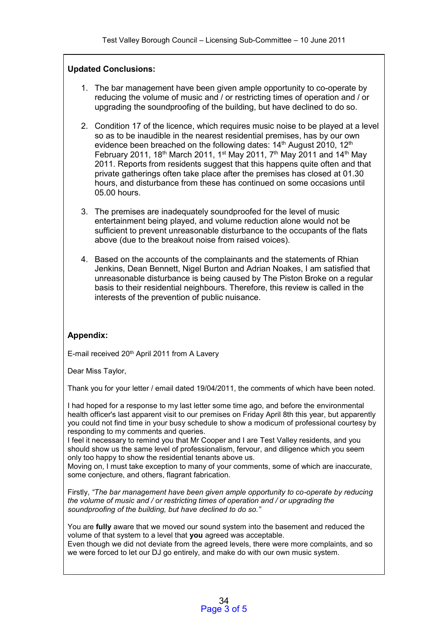# **Updated Conclusions:**

- 1. The bar management have been given ample opportunity to co-operate by reducing the volume of music and / or restricting times of operation and / or upgrading the soundproofing of the building, but have declined to do so.
- 2. Condition 17 of the licence, which requires music noise to be played at a level so as to be inaudible in the nearest residential premises, has by our own evidence been breached on the following dates: 14<sup>th</sup> August 2010, 12<sup>th</sup> February 2011, 18<sup>th</sup> March 2011, 1<sup>st</sup> May 2011, 7<sup>th</sup> May 2011 and 14<sup>th</sup> May 2011. Reports from residents suggest that this happens quite often and that private gatherings often take place after the premises has closed at 01.30 hours, and disturbance from these has continued on some occasions until 05.00 hours.
- 3. The premises are inadequately soundproofed for the level of music entertainment being played, and volume reduction alone would not be sufficient to prevent unreasonable disturbance to the occupants of the flats above (due to the breakout noise from raised voices).
- 4. Based on the accounts of the complainants and the statements of Rhian Jenkins, Dean Bennett, Nigel Burton and Adrian Noakes, I am satisfied that unreasonable disturbance is being caused by The Piston Broke on a regular basis to their residential neighbours. Therefore, this review is called in the interests of the prevention of public nuisance.

# **Appendix:**

E-mail received 20th April 2011 from A Lavery

Dear Miss Taylor,

Thank you for your letter / email dated 19/04/2011, the comments of which have been noted.

I had hoped for a response to my last letter some time ago, and before the environmental health officer's last apparent visit to our premises on Friday April 8th this year, but apparently you could not find time in your busy schedule to show a modicum of professional courtesy by responding to my comments and queries.

I feel it necessary to remind you that Mr Cooper and I are Test Valley residents, and you should show us the same level of professionalism, fervour, and diligence which you seem only too happy to show the residential tenants above us.

Moving on, I must take exception to many of your comments, some of which are inaccurate, some conjecture, and others, flagrant fabrication.

Firstly, *"The bar management have been given ample opportunity to co-operate by reducing the volume of music and / or restricting times of operation and / or upgrading the soundproofing of the building, but have declined to do so."*

You are **fully** aware that we moved our sound system into the basement and reduced the volume of that system to a level that **you** agreed was acceptable. Even though we did not deviate from the agreed levels, there were more complaints, and so we were forced to let our DJ go entirely, and make do with our own music system.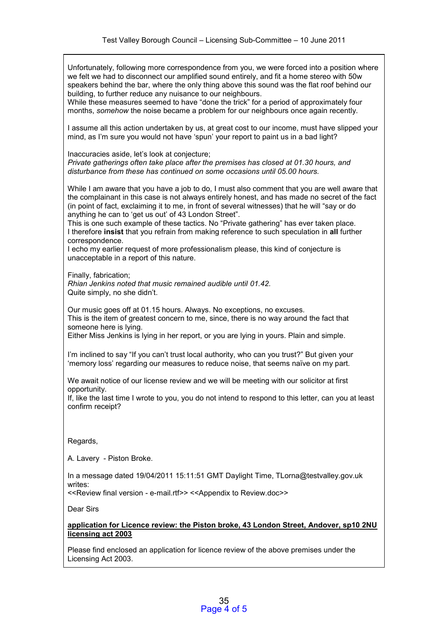Unfortunately, following more correspondence from you, we were forced into a position where we felt we had to disconnect our amplified sound entirely, and fit a home stereo with 50w speakers behind the bar, where the only thing above this sound was the flat roof behind our building, to further reduce any nuisance to our neighbours.

While these measures seemed to have "done the trick" for a period of approximately four months, *somehow* the noise became a problem for our neighbours once again recently.

I assume all this action undertaken by us, at great cost to our income, must have slipped your mind, as I'm sure you would not have 'spun' your report to paint us in a bad light?

Inaccuracies aside, let's look at conjecture; *Private gatherings often take place after the premises has closed at 01.30 hours, and disturbance from these has continued on some occasions until 05.00 hours.* 

While I am aware that you have a job to do, I must also comment that you are well aware that the complainant in this case is not always entirely honest, and has made no secret of the fact (in point of fact, exclaiming it to me, in front of several witnesses) that he will "say or do anything he can to 'get us out' of 43 London Street".

This is one such example of these tactics. No "Private gathering" has ever taken place. I therefore **insist** that you refrain from making reference to such speculation in **all** further correspondence.

I echo my earlier request of more professionalism please, this kind of conjecture is unacceptable in a report of this nature.

Finally, fabrication;

*Rhian Jenkins noted that music remained audible until 01.42.*  Quite simply, no she didn't.

Our music goes off at 01.15 hours. Always. No exceptions, no excuses. This is the item of greatest concern to me, since, there is no way around the fact that someone here is lying.

Either Miss Jenkins is lying in her report, or you are lying in yours. Plain and simple.

I'm inclined to say "If you can't trust local authority, who can you trust?" But given your 'memory loss' regarding our measures to reduce noise, that seems naïve on my part.

We await notice of our license review and we will be meeting with our solicitor at first opportunity.

If, like the last time I wrote to you, you do not intend to respond to this letter, can you at least confirm receipt?

Regards,

A. Lavery - Piston Broke.

In a message dated 19/04/2011 15:11:51 GMT Daylight Time, TLorna@testvalley.gov.uk writes:

<<Review final version - e-mail.rtf>> <<Appendix to Review.doc>>

Dear Sirs

**application for Licence review: the Piston broke, 43 London Street, Andover, sp10 2NU licensing act 2003**

Please find enclosed an application for licence review of the above premises under the Licensing Act 2003.